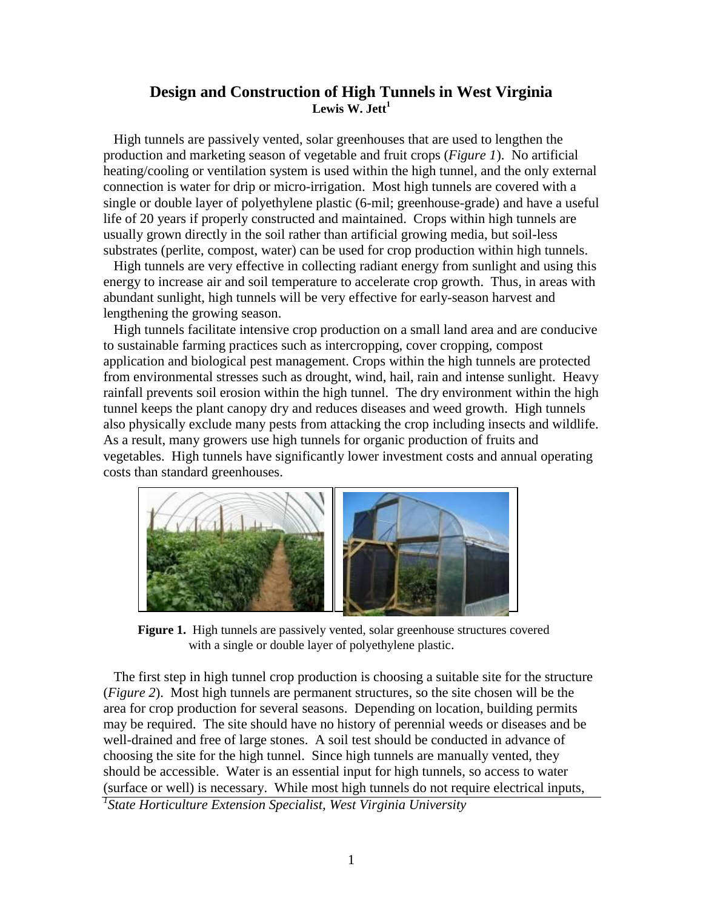## **Design and Construction of High Tunnels in West Virginia Lewis W. Jett<sup>1</sup>**

 High tunnels are passively vented, solar greenhouses that are used to lengthen the production and marketing season of vegetable and fruit crops (*Figure 1*). No artificial heating/cooling or ventilation system is used within the high tunnel, and the only external connection is water for drip or micro-irrigation. Most high tunnels are covered with a single or double layer of polyethylene plastic (6-mil; greenhouse-grade) and have a useful life of 20 years if properly constructed and maintained. Crops within high tunnels are usually grown directly in the soil rather than artificial growing media, but soil-less substrates (perlite, compost, water) can be used for crop production within high tunnels.

 High tunnels are very effective in collecting radiant energy from sunlight and using this energy to increase air and soil temperature to accelerate crop growth. Thus, in areas with abundant sunlight, high tunnels will be very effective for early-season harvest and lengthening the growing season.

 High tunnels facilitate intensive crop production on a small land area and are conducive to sustainable farming practices such as intercropping, cover cropping, compost application and biological pest management. Crops within the high tunnels are protected from environmental stresses such as drought, wind, hail, rain and intense sunlight. Heavy rainfall prevents soil erosion within the high tunnel. The dry environment within the high tunnel keeps the plant canopy dry and reduces diseases and weed growth. High tunnels also physically exclude many pests from attacking the crop including insects and wildlife. As a result, many growers use high tunnels for organic production of fruits and vegetables. High tunnels have significantly lower investment costs and annual operating costs than standard greenhouses.



 **Figure 1.** High tunnels are passively vented, solar greenhouse structures covered with a single or double layer of polyethylene plastic.

 The first step in high tunnel crop production is choosing a suitable site for the structure (*Figure 2*). Most high tunnels are permanent structures, so the site chosen will be the area for crop production for several seasons. Depending on location, building permits may be required. The site should have no history of perennial weeds or diseases and be well-drained and free of large stones. A soil test should be conducted in advance of choosing the site for the high tunnel. Since high tunnels are manually vented, they should be accessible. Water is an essential input for high tunnels, so access to water (surface or well) is necessary. While most high tunnels do not require electrical inputs,

*1 State Horticulture Extension Specialist, West Virginia University*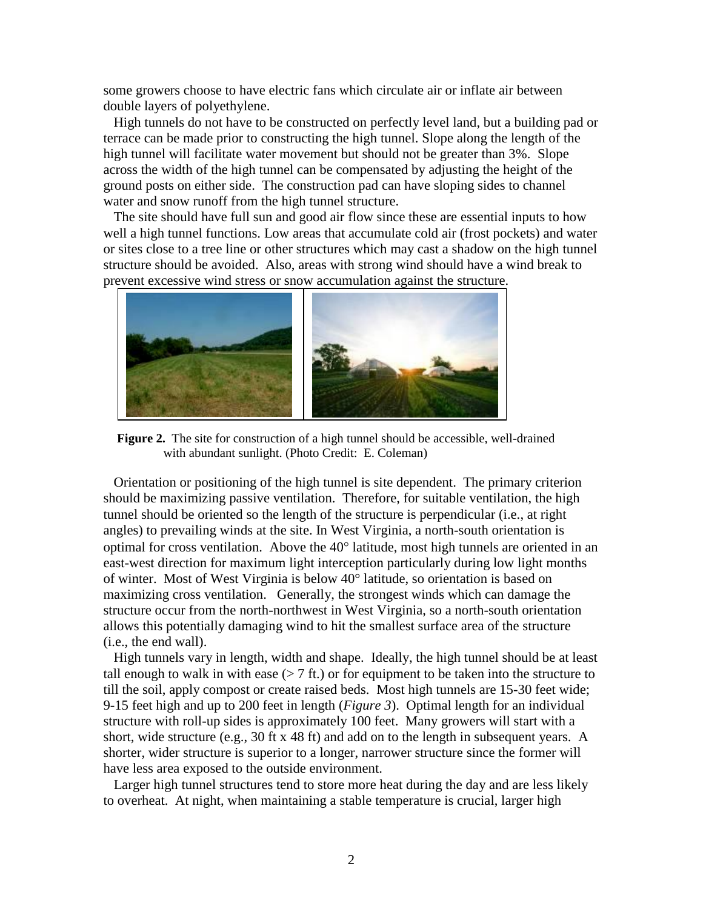some growers choose to have electric fans which circulate air or inflate air between double layers of polyethylene.

 High tunnels do not have to be constructed on perfectly level land, but a building pad or terrace can be made prior to constructing the high tunnel. Slope along the length of the high tunnel will facilitate water movement but should not be greater than 3%. Slope across the width of the high tunnel can be compensated by adjusting the height of the ground posts on either side. The construction pad can have sloping sides to channel water and snow runoff from the high tunnel structure.

 The site should have full sun and good air flow since these are essential inputs to how well a high tunnel functions. Low areas that accumulate cold air (frost pockets) and water or sites close to a tree line or other structures which may cast a shadow on the high tunnel structure should be avoided. Also, areas with strong wind should have a wind break to prevent excessive wind stress or snow accumulation against the structure.



 **Figure 2.** The site for construction of a high tunnel should be accessible, well-drained with abundant sunlight. (Photo Credit:E. Coleman)

 Orientation or positioning of the high tunnel is site dependent. The primary criterion should be maximizing passive ventilation. Therefore, for suitable ventilation, the high tunnel should be oriented so the length of the structure is perpendicular (i.e., at right angles) to prevailing winds at the site. In West Virginia, a north-south orientation is optimal for cross ventilation. Above the  $40^{\circ}$  latitude, most high tunnels are oriented in an east-west direction for maximum light interception particularly during low light months of winter. Most of West Virginia is below 40° latitude, so orientation is based on maximizing cross ventilation. Generally, the strongest winds which can damage the structure occur from the north-northwest in West Virginia, so a north-south orientation allows this potentially damaging wind to hit the smallest surface area of the structure (i.e., the end wall).

 High tunnels vary in length, width and shape. Ideally, the high tunnel should be at least tall enough to walk in with ease  $(> 7 \text{ ft.})$  or for equipment to be taken into the structure to till the soil, apply compost or create raised beds. Most high tunnels are 15-30 feet wide; 9-15 feet high and up to 200 feet in length (*Figure 3*). Optimal length for an individual structure with roll-up sides is approximately 100 feet. Many growers will start with a short, wide structure (e.g., 30 ft x 48 ft) and add on to the length in subsequent years. A shorter, wider structure is superior to a longer, narrower structure since the former will have less area exposed to the outside environment.

 Larger high tunnel structures tend to store more heat during the day and are less likely to overheat. At night, when maintaining a stable temperature is crucial, larger high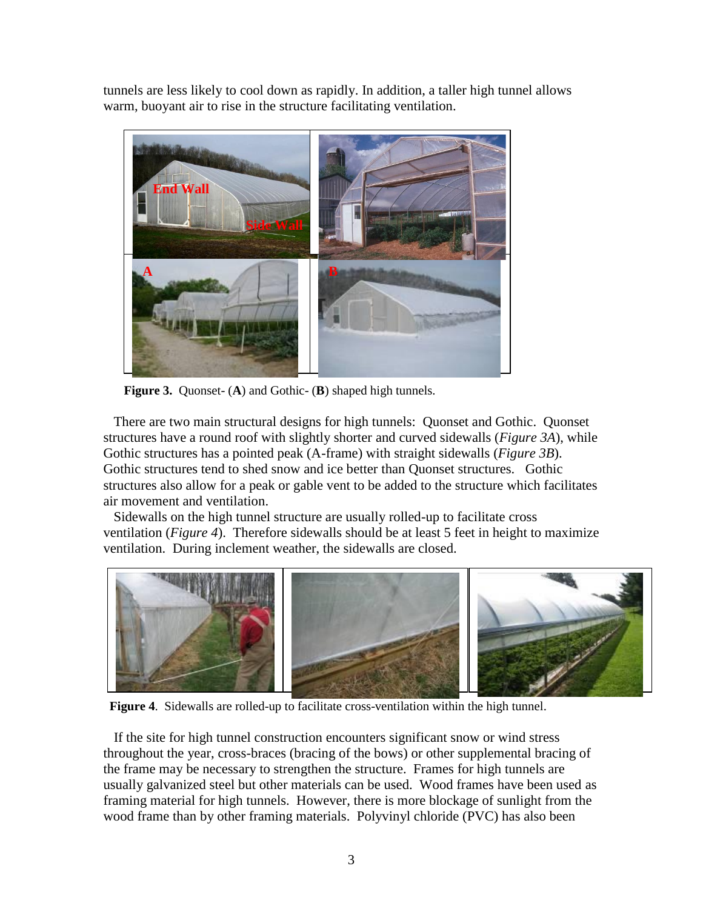tunnels are less likely to cool down as rapidly. In addition, a taller high tunnel allows warm, buoyant air to rise in the structure facilitating ventilation.



**Figure 3.** Quonset- (**A**) and Gothic- (**B**) shaped high tunnels.

 There are two main structural designs for high tunnels: Quonset and Gothic. Quonset structures have a round roof with slightly shorter and curved sidewalls (*Figure 3A*), while Gothic structures has a pointed peak (A-frame) with straight sidewalls (*Figure 3B*). Gothic structures tend to shed snow and ice better than Quonset structures. Gothic structures also allow for a peak or gable vent to be added to the structure which facilitates air movement and ventilation.

 Sidewalls on the high tunnel structure are usually rolled-up to facilitate cross ventilation (*Figure 4*). Therefore sidewalls should be at least 5 feet in height to maximize ventilation. During inclement weather, the sidewalls are closed.



**Figure 4**. Sidewalls are rolled-up to facilitate cross-ventilation within the high tunnel.

 If the site for high tunnel construction encounters significant snow or wind stress throughout the year, cross-braces (bracing of the bows) or other supplemental bracing of the frame may be necessary to strengthen the structure. Frames for high tunnels are usually galvanized steel but other materials can be used. Wood frames have been used as framing material for high tunnels. However, there is more blockage of sunlight from the wood frame than by other framing materials. Polyvinyl chloride (PVC) has also been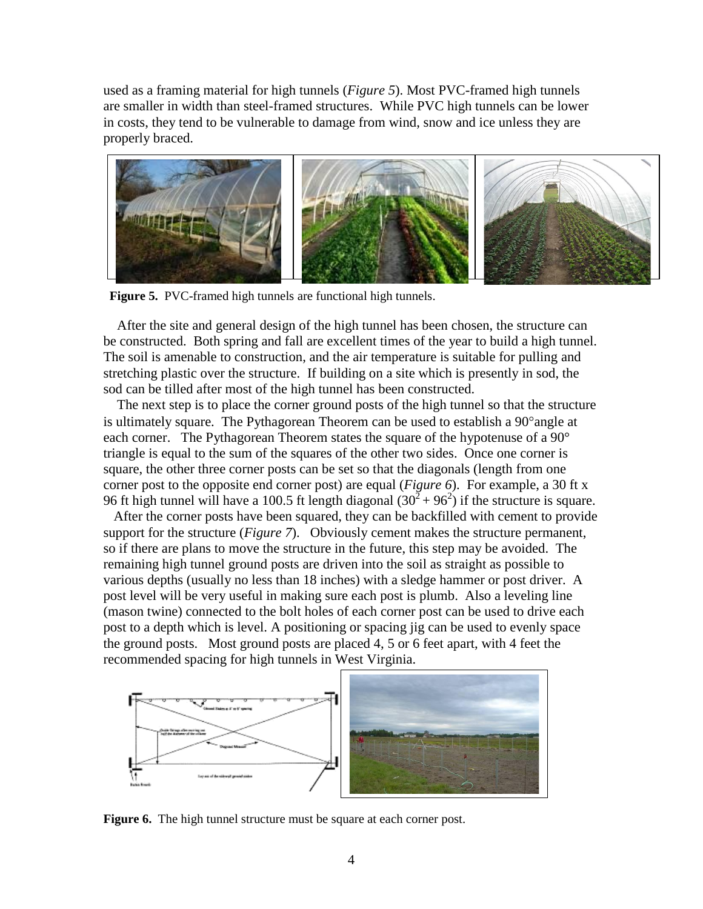used as a framing material for high tunnels (*Figure 5*). Most PVC-framed high tunnels are smaller in width than steel-framed structures. While PVC high tunnels can be lower in costs, they tend to be vulnerable to damage from wind, snow and ice unless they are properly braced.



**Figure 5.** PVC-framed high tunnels are functional high tunnels.

 After the site and general design of the high tunnel has been chosen, the structure can be constructed. Both spring and fall are excellent times of the year to build a high tunnel. The soil is amenable to construction, and the air temperature is suitable for pulling and stretching plastic over the structure. If building on a site which is presently in sod, the sod can be tilled after most of the high tunnel has been constructed.

 The next step is to place the corner ground posts of the high tunnel so that the structure is ultimately square. The Pythagorean Theorem can be used to establish a  $90^{\circ}$  angle at each corner. The Pythagorean Theorem states the square of the hypotenuse of a 90<sup>°</sup> triangle is equal to the sum of the squares of the other two sides. Once one corner is square, the other three corner posts can be set so that the diagonals (length from one corner post to the opposite end corner post) are equal (*Figure 6*). For example, a 30 ft x 96 ft high tunnel will have a 100.5 ft length diagonal  $(30^2 + 96^2)$  if the structure is square.

 After the corner posts have been squared, they can be backfilled with cement to provide support for the structure (*Figure 7*). Obviously cement makes the structure permanent, so if there are plans to move the structure in the future, this step may be avoided. The remaining high tunnel ground posts are driven into the soil as straight as possible to various depths (usually no less than 18 inches) with a sledge hammer or post driver. A post level will be very useful in making sure each post is plumb. Also a leveling line (mason twine) connected to the bolt holes of each corner post can be used to drive each post to a depth which is level. A positioning or spacing jig can be used to evenly space the ground posts. Most ground posts are placed 4, 5 or 6 feet apart, with 4 feet the recommended spacing for high tunnels in West Virginia.



**Figure 6.** The high tunnel structure must be square at each corner post.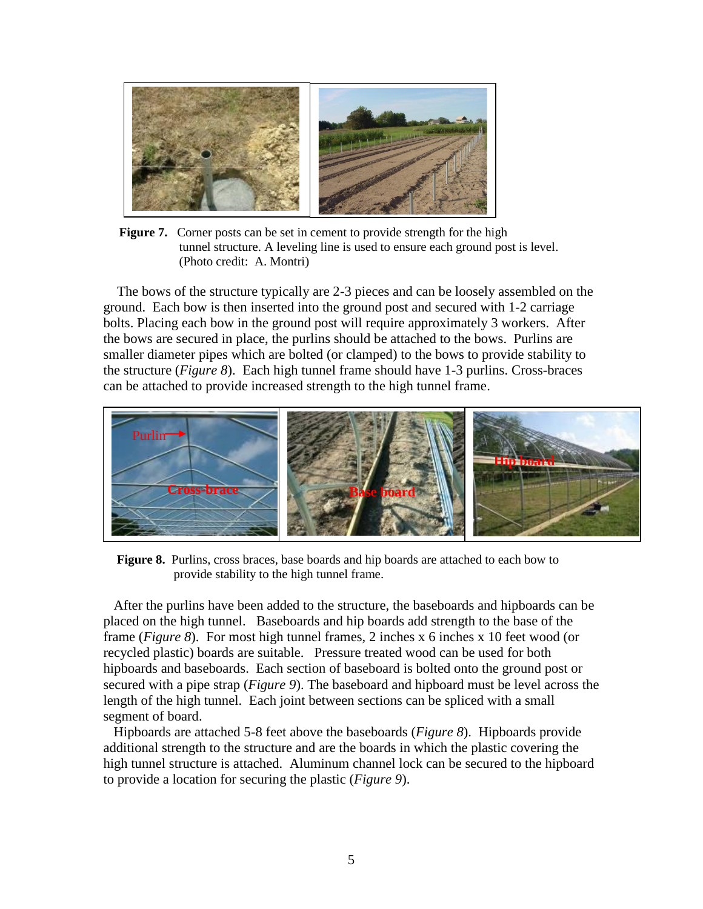

**Figure 7.** Corner posts can be set in cement to provide strength for the high tunnel structure. A leveling line is used to ensure each ground post is level. (Photo credit: A. Montri)

 The bows of the structure typically are 2-3 pieces and can be loosely assembled on the ground. Each bow is then inserted into the ground post and secured with 1-2 carriage bolts. Placing each bow in the ground post will require approximately 3 workers. After the bows are secured in place, the purlins should be attached to the bows. Purlins are smaller diameter pipes which are bolted (or clamped) to the bows to provide stability to the structure (*Figure 8*). Each high tunnel frame should have 1-3 purlins. Cross-braces can be attached to provide increased strength to the high tunnel frame.



**Figure 8.** Purlins, cross braces, base boards and hip boards are attached to each bow to provide stability to the high tunnel frame.

After the purlins have been added to the structure, the baseboards and hipboards can be placed on the high tunnel. Baseboards and hip boards add strength to the base of the frame (*Figure 8*). For most high tunnel frames, 2 inches x 6 inches x 10 feet wood (or recycled plastic) boards are suitable. Pressure treated wood can be used for both hipboards and baseboards. Each section of baseboard is bolted onto the ground post or secured with a pipe strap (*Figure 9*). The baseboard and hipboard must be level across the length of the high tunnel. Each joint between sections can be spliced with a small segment of board.

Hipboards are attached 5-8 feet above the baseboards (*Figure 8*). Hipboards provide additional strength to the structure and are the boards in which the plastic covering the high tunnel structure is attached. Aluminum channel lock can be secured to the hipboard to provide a location for securing the plastic (*Figure 9*).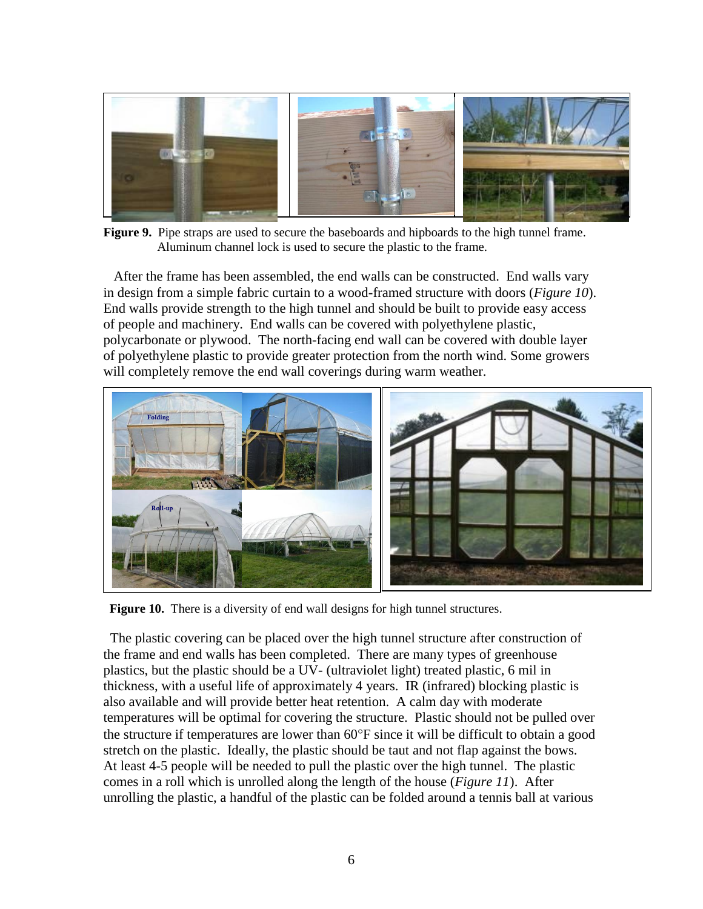

**Figure 9.** Pipe straps are used to secure the baseboards and hipboards to the high tunnel frame. Aluminum channel lock is used to secure the plastic to the frame.

 After the frame has been assembled, the end walls can be constructed. End walls vary in design from a simple fabric curtain to a wood-framed structure with doors (*Figure 10*). End walls provide strength to the high tunnel and should be built to provide easy access of people and machinery. End walls can be covered with polyethylene plastic, polycarbonate or plywood. The north-facing end wall can be covered with double layer of polyethylene plastic to provide greater protection from the north wind. Some growers will completely remove the end wall coverings during warm weather.



**Figure 10.** There is a diversity of end wall designs for high tunnel structures.

 The plastic covering can be placed over the high tunnel structure after construction of the frame and end walls has been completed. There are many types of greenhouse plastics, but the plastic should be a UV- (ultraviolet light) treated plastic, 6 mil in thickness, with a useful life of approximately 4 years. IR (infrared) blocking plastic is also available and will provide better heat retention. A calm day with moderate temperatures will be optimal for covering the structure. Plastic should not be pulled over the structure if temperatures are lower than  $60^{\circ}$ F since it will be difficult to obtain a good stretch on the plastic. Ideally, the plastic should be taut and not flap against the bows. At least 4-5 people will be needed to pull the plastic over the high tunnel. The plastic comes in a roll which is unrolled along the length of the house (*Figure 11*). After unrolling the plastic, a handful of the plastic can be folded around a tennis ball at various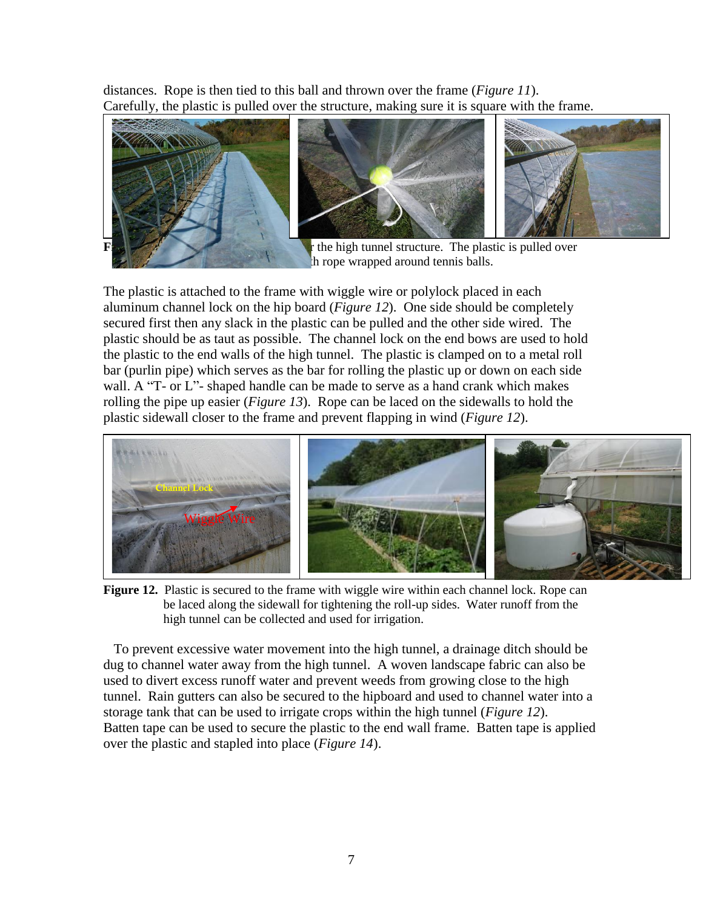distances. Rope is then tied to this ball and thrown over the frame (*Figure 11*). Carefully, the plastic is pulled over the structure, making sure it is square with the frame.



the frame around tennis balls.

The plastic is attached to the frame with wiggle wire or polylock placed in each aluminum channel lock on the hip board (*Figure 12*). One side should be completely secured first then any slack in the plastic can be pulled and the other side wired. The plastic should be as taut as possible. The channel lock on the end bows are used to hold the plastic to the end walls of the high tunnel. The plastic is clamped on to a metal roll bar (purlin pipe) which serves as the bar for rolling the plastic up or down on each side wall. A "T- or L"- shaped handle can be made to serve as a hand crank which makes rolling the pipe up easier (*Figure 13*). Rope can be laced on the sidewalls to hold the plastic sidewall closer to the frame and prevent flapping in wind (*Figure 12*).



**Figure 12.** Plastic is secured to the frame with wiggle wire within each channel lock. Rope can be laced along the sidewall for tightening the roll-up sides. Water runoff from the high tunnel can be collected and used for irrigation.

 To prevent excessive water movement into the high tunnel, a drainage ditch should be dug to channel water away from the high tunnel. A woven landscape fabric can also be used to divert excess runoff water and prevent weeds from growing close to the high tunnel. Rain gutters can also be secured to the hipboard and used to channel water into a storage tank that can be used to irrigate crops within the high tunnel (*Figure 12*). Batten tape can be used to secure the plastic to the end wall frame. Batten tape is applied over the plastic and stapled into place (*Figure 14*).